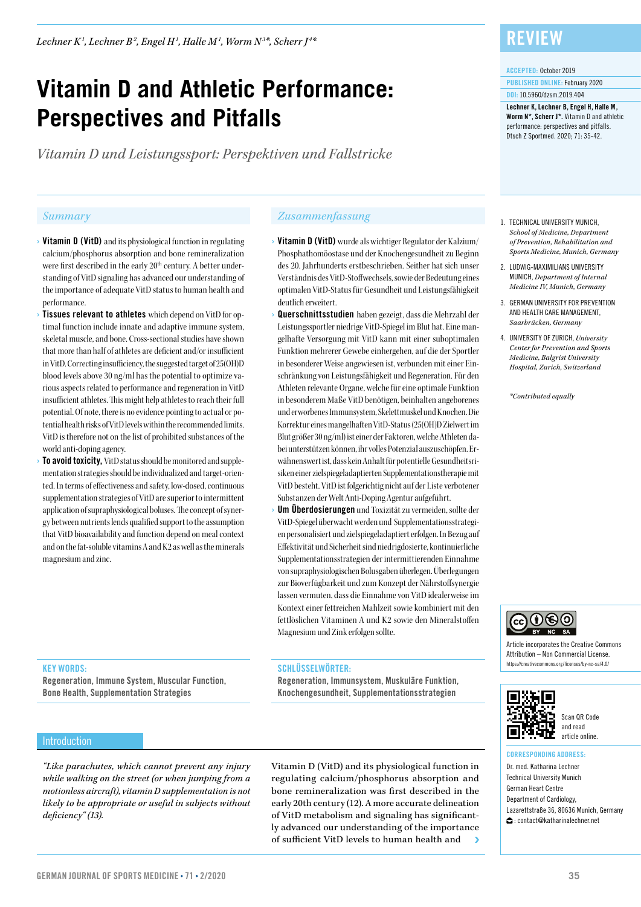*Lechner K1 , Lechner B2 , Engel H1 , Halle M1 , Worm N3 \*, Scherr J <sup>4</sup> \**

# **Vitamin D and Athletic Performance: Perspectives and Pitfalls**

*Vitamin D und Leistungssport: Perspektiven und Fallstricke*

- **Vitamin D (VitD)** and its physiological function in regulating calcium/phosphorus absorption and bone remineralization were first described in the early 20<sup>th</sup> century. A better understanding of VitD signaling has advanced our understanding of the importance of adequate VitD status to human health and performance.
- Tissues relevant to athletes which depend on VitD for optimal function include innate and adaptive immune system, skeletal muscle, and bone. Cross-sectional studies have shown that more than half of athletes are deficient and/or insufficient in VitD. Correcting insufficiency, the suggested target of 25(OH)D blood levels above 30 ng/ml has the potential to optimize various aspects related to performance and regeneration in VitD insufficient athletes. This might help athletes to reach their full potential. Of note, there is no evidence pointing to actual or potential health risks of VitD levels within the recommended limits. VitD is therefore not on the list of prohibited substances of the world anti-doping agency.
- To avoid toxicity, VitD status should be monitored and supplementation strategies should be individualized and target-oriented. In terms of effectiveness and safety, low-dosed, continuous supplementation strategies of VitD are superior to intermittent application of supraphysiological boluses. The concept of synergy between nutrients lends qualified support to the assumption that VitD bioavailability and function depend on meal context and on the fat-soluble vitamins A and K2 as well as the minerals magnesium and zinc.

#### *Summary Zusammenfassung*

- Vitamin D (VitD) wurde als wichtiger Regulator der Kalzium/ Phosphathomöostase und der Knochengesundheit zu Beginn des 20. Jahrhunderts erstbeschrieben. Seither hat sich unser Verständnis des VitD-Stoffwechsels, sowie der Bedeutung eines optimalen VitD-Status für Gesundheit und Leistungsfähigkeit deutlich erweitert.
- Querschnittsstudien haben gezeigt, dass die Mehrzahl der Leistungssportler niedrige VitD-Spiegel im Blut hat. Eine mangelhafte Versorgung mit VitD kann mit einer suboptimalen Funktion mehrerer Gewebe einhergehen, auf die der Sportler in besonderer Weise angewiesen ist, verbunden mit einer Einschränkung von Leistungsfähigkeit und Regeneration. Für den Athleten relevante Organe, welche für eine optimale Funktion in besonderem Maße VitD benötigen, beinhalten angeborenes und erworbenes Immunsystem, Skelettmuskel und Knochen. Die Korrektur eines mangelhaften VitD-Status (25(OH)D Zielwert im Blut größer 30 ng/ml) ist einer der Faktoren, welche Athleten dabei unterstützen können, ihr volles Potenzial auszuschöpfen. Erwähnenswert ist, dass kein Anhalt für potentielle Gesundheitsrisiken einer zielspiegeladaptierten Supplementationstherapie mit VitD besteht. VitD ist folgerichtig nicht auf der Liste verbotener Substanzen der Welt Anti-Doping Agentur aufgeführt.
- Um Überdosierungen und Toxizität zu vermeiden, sollte der VitD-Spiegel überwacht werden und Supplementationsstrategien personalisiert und zielspiegeladaptiert erfolgen. In Bezug auf Effektivität und Sicherheit sind niedrigdosierte, kontinuierliche Supplementationsstrategien der intermittierenden Einnahme von supraphysiologischen Bolusgaben überlegen. Überlegungen zur Bioverfügbarkeit und zum Konzept der Nährstoffsynergie lassen vermuten, dass die Einnahme von VitD idealerweise im Kontext einer fettreichen Mahlzeit sowie kombiniert mit den fettlöslichen Vitaminen A und K2 sowie den Mineralstoffen Magnesium und Zink erfolgen sollte.

#### SCHLÜSSELWÖRTER-

Regeneration, Immunsystem, Muskuläre Funktion, Knochengesundheit, Supplementationsstrategien

### **REVIEW**

#### ACCEPTED: October 2019

PUBLISHED ONLINE: February 2020 DOI: 10.5960/dzsm.2019.404

Lechner K, Lechner B, Engel H, Halle M, Worm N\*, Scherr J\*. Vitamin D and athletic performance: perspectives and pitfalls. Dtsch Z Sportmed. 2020; 71: 35-42.

- 1. TECHNICAL UNIVERSITY MUNICH, *School of Medicine, Department of Prevention, Rehabilitation and Sports Medicine, Munich, Germany*
- 2. LUDWIG-MAXIMILIANS UNIVERSITY MUNICH, *Department of Internal Medicine IV, Munich, Germany*
- 3. GERMAN UNIVERSITY FOR PREVENTION AND HEALTH CARE MANAGEMENT, *Saarbrücken, Germany*
- 4. UNIVERSITY OF ZURICH, *University Center for Prevention and Sports Medicine, Balgrist University Hospital, Zurich, Switzerland*

*\*Contributed equally*



Article incorporates the Creative Commons Attribution – Non Commercial License. https://creativecommons.org/licenses/by-nc-sa/4.0/



#### Scan QR Code and read article online.

#### CORRESPONDING ADDRESS:

Dr. med. Katharina Lechner Technical University Munich German Heart Centre Department of Cardiology, Lazarettstraße 36, 80636 Munich, Germany : contact@katharinalechner.net

### KEY WORDS:

Regeneration, Immune System, Muscular Function, Bone Health, Supplementation Strategies

#### **Introduction**

*"Like parachutes, which cannot prevent any injury while walking on the street (or when jumping from a motionless aircraft), vitamin D supplementation is not likely to be appropriate or useful in subjects without deficiency" (13).*

Vitamin D (VitD) and its physiological function in regulating calcium/phosphorus absorption and bone remineralization was first described in the early 20th century (12). A more accurate delineation of VitD metabolism and signaling has significantly advanced our understanding of the importance of sufficient VitD levels to human health and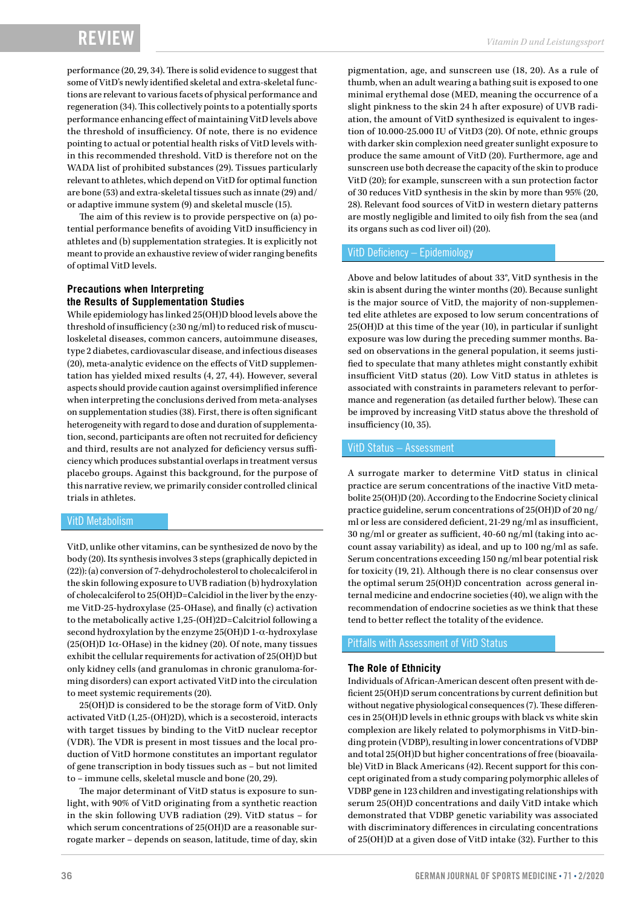performance (20, 29, 34). There is solid evidence to suggest that some of VitD's newly identified skeletal and extra-skeletal functions are relevant to various facets of physical performance and regeneration (34). This collectively points to a potentially sports performance enhancing effect of maintaining VitD levels above the threshold of insufficiency. Of note, there is no evidence pointing to actual or potential health risks of VitD levels within this recommended threshold. VitD is therefore not on the WADA list of prohibited substances (29). Tissues particularly relevant to athletes, which depend on VitD for optimal function are bone (53) and extra-skeletal tissues such as innate (29) and/ or adaptive immune system (9) and skeletal muscle (15).

The aim of this review is to provide perspective on (a) potential performance benefits of avoiding VitD insufficiency in athletes and (b) supplementation strategies. It is explicitly not meant to provide an exhaustive review of wider ranging benefits of optimal VitD levels.

### **Precautions when Interpreting the Results of Supplementation Studies**

While epidemiology has linked 25(OH)D blood levels above the threshold of insufficiency ( $\geq$ 30 ng/ml) to reduced risk of musculoskeletal diseases, common cancers, autoimmune diseases, type 2 diabetes, cardiovascular disease, and infectious diseases (20), meta-analytic evidence on the effects of VitD supplementation has yielded mixed results (4, 27, 44). However, several aspects should provide caution against oversimplified inference when interpreting the conclusions derived from meta-analyses on supplementation studies (38). First, there is often significant heterogeneity with regard to dose and duration of supplementation, second, participants are often not recruited for deficiency and third, results are not analyzed for deficiency versus sufficiency which produces substantial overlaps in treatment versus placebo groups. Against this background, for the purpose of this narrative review, we primarily consider controlled clinical trials in athletes.

#### VitD Metabolism

VitD, unlike other vitamins, can be synthesized de novo by the body (20). Its synthesis involves 3 steps (graphically depicted in (22)): (a) conversion of 7-dehydrocholesterol to cholecalciferol in the skin following exposure to UVB radiation (b) hydroxylation of cholecalciferol to 25(OH)D=Calcidiol in the liver by the enzyme VitD-25-hydroxylase (25-OHase), and finally (c) activation to the metabolically active 1,25-(OH)2D=Calcitriol following a second hydroxylation by the enzyme  $25(OH)D1-\alpha$ -hydroxylase (25(OH)D 1 $\alpha$ -OHase) in the kidney (20). Of note, many tissues exhibit the cellular requirements for activation of 25(OH)D but only kidney cells (and granulomas in chronic granuloma-forming disorders) can export activated VitD into the circulation to meet systemic requirements (20).

25(OH)D is considered to be the storage form of VitD. Only activated VitD (1,25-(OH)2D), which is a secosteroid, interacts with target tissues by binding to the VitD nuclear receptor (VDR). The VDR is present in most tissues and the local production of VitD hormone constitutes an important regulator of gene transcription in body tissues such as – but not limited to – immune cells, skeletal muscle and bone (20, 29).

The major determinant of VitD status is exposure to sunlight, with 90% of VitD originating from a synthetic reaction in the skin following UVB radiation (29). VitD status – for which serum concentrations of 25(OH)D are a reasonable surrogate marker – depends on season, latitude, time of day, skin

pigmentation, age, and sunscreen use (18, 20). As a rule of thumb, when an adult wearing a bathing suit is exposed to one minimal erythemal dose (MED, meaning the occurrence of a slight pinkness to the skin 24 h after exposure) of UVB radiation, the amount of VitD synthesized is equivalent to ingestion of 10.000-25.000 IU of VitD3 (20). Of note, ethnic groups with darker skin complexion need greater sunlight exposure to produce the same amount of VitD (20). Furthermore, age and sunscreen use both decrease the capacity of the skin to produce VitD (20); for example, sunscreen with a sun protection factor of 30 reduces VitD synthesis in the skin by more than 95% (20, 28). Relevant food sources of VitD in western dietary patterns are mostly negligible and limited to oily fish from the sea (and its organs such as cod liver oil) (20).

#### VitD Deficiency – Epidemiology

Above and below latitudes of about 33°, VitD synthesis in the skin is absent during the winter months (20). Because sunlight is the major source of VitD, the majority of non-supplemented elite athletes are exposed to low serum concentrations of 25(OH)D at this time of the year (10), in particular if sunlight exposure was low during the preceding summer months. Based on observations in the general population, it seems justified to speculate that many athletes might constantly exhibit insufficient VitD status (20). Low VitD status in athletes is associated with constraints in parameters relevant to performance and regeneration (as detailed further below). These can be improved by increasing VitD status above the threshold of insufficiency (10, 35).

#### VitD Status – Assessment

A surrogate marker to determine VitD status in clinical practice are serum concentrations of the inactive VitD metabolite 25(OH)D (20). According to the Endocrine Society clinical practice guideline, serum concentrations of 25(OH)D of 20 ng/ ml or less are considered deficient, 21-29 ng/ml as insufficient, 30 ng/ml or greater as sufficient, 40-60 ng/ml (taking into account assay variability) as ideal, and up to 100 ng/ml as safe. Serum concentrations exceeding 150 ng/ml bear potential risk for toxicity (19, 21). Although there is no clear consensus over the optimal serum 25(OH)D concentration across general internal medicine and endocrine societies (40), we align with the recommendation of endocrine societies as we think that these tend to better reflect the totality of the evidence.

#### Pitfalls with Assessment of VitD Status

#### **The Role of Ethnicity**

Individuals of African-American descent often present with deficient 25(OH)D serum concentrations by current definition but without negative physiological consequences (7). These differences in 25(OH)D levels in ethnic groups with black vs white skin complexion are likely related to polymorphisms in VitD-binding protein (VDBP), resulting in lower concentrations of VDBP and total 25(OH)D but higher concentrations of free (bioavailable) VitD in Black Americans (42). Recent support for this concept originated from a study comparing polymorphic alleles of VDBP gene in 123 children and investigating relationships with serum 25(OH)D concentrations and daily VitD intake which demonstrated that VDBP genetic variability was associated with discriminatory differences in circulating concentrations of 25(OH)D at a given dose of VitD intake (32). Further to this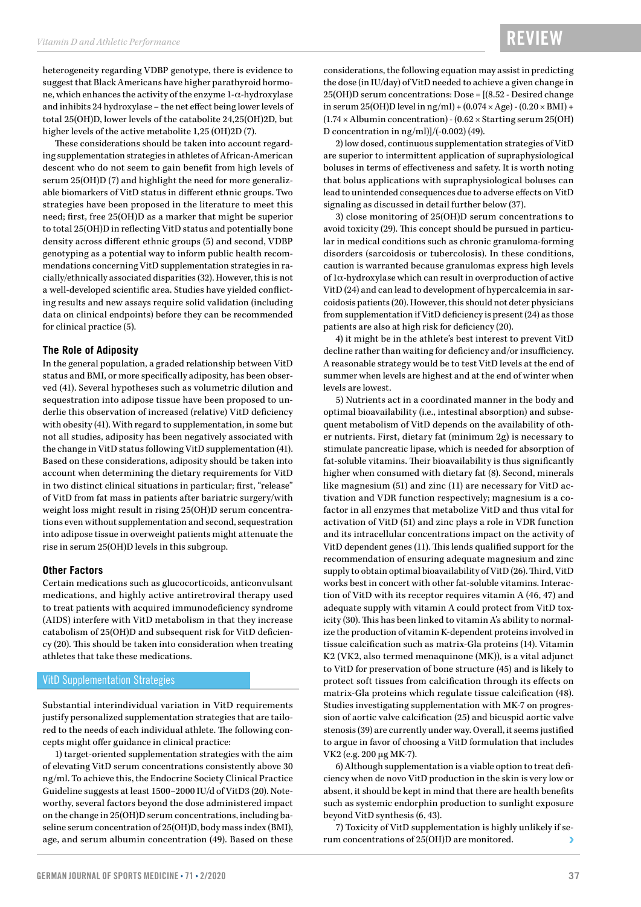heterogeneity regarding VDBP genotype, there is evidence to suggest that Black Americans have higher parathyroid hormone, which enhances the activity of the enzyme 1-α-hydroxylase and inhibits 24 hydroxylase – the net effect being lower levels of total 25(OH)D, lower levels of the catabolite 24,25(OH)2D, but higher levels of the active metabolite 1,25 (OH)2D (7).

These considerations should be taken into account regarding supplementation strategies in athletes of African-American descent who do not seem to gain benefit from high levels of serum 25(OH)D (7) and highlight the need for more generalizable biomarkers of VitD status in different ethnic groups. Two strategies have been proposed in the literature to meet this need; first, free 25(OH)D as a marker that might be superior to total 25(OH)D in reflecting VitD status and potentially bone density across different ethnic groups (5) and second, VDBP genotyping as a potential way to inform public health recommendations concerning VitD supplementation strategies in racially/ethnically associated disparities (32). However, this is not a well-developed scientific area. Studies have yielded conflicting results and new assays require solid validation (including data on clinical endpoints) before they can be recommended for clinical practice (5).

#### **The Role of Adiposity**

In the general population, a graded relationship between VitD status and BMI, or more specifically adiposity, has been observed (41). Several hypotheses such as volumetric dilution and sequestration into adipose tissue have been proposed to underlie this observation of increased (relative) VitD deficiency with obesity (41). With regard to supplementation, in some but not all studies, adiposity has been negatively associated with the change in VitD status following VitD supplementation (41). Based on these considerations, adiposity should be taken into account when determining the dietary requirements for VitD in two distinct clinical situations in particular; first, "release" of VitD from fat mass in patients after bariatric surgery/with weight loss might result in rising 25(OH)D serum concentrations even without supplementation and second, sequestration into adipose tissue in overweight patients might attenuate the rise in serum 25(OH)D levels in this subgroup.

#### **Other Factors**

Certain medications such as glucocorticoids, anticonvulsant medications, and highly active antiretroviral therapy used to treat patients with acquired immunodeficiency syndrome (AIDS) interfere with VitD metabolism in that they increase catabolism of 25(OH)D and subsequent risk for VitD deficiency (20). This should be taken into consideration when treating athletes that take these medications.

#### VitD Supplementation Strategies

Substantial interindividual variation in VitD requirements justify personalized supplementation strategies that are tailored to the needs of each individual athlete. The following concepts might offer guidance in clinical practice:

1) target-oriented supplementation strategies with the aim of elevating VitD serum concentrations consistently above 30 ng/ml. To achieve this, the Endocrine Society Clinical Practice Guideline suggests at least 1500–2000 IU/d of VitD3 (20). Noteworthy, several factors beyond the dose administered impact on the change in 25(OH)D serum concentrations, including baseline serum concentration of 25(OH)D, body mass index (BMI), age, and serum albumin concentration (49). Based on these

considerations, the following equation may assist in predicting the dose (in IU/day) of VitD needed to achieve a given change in 25(OH)D serum concentrations: Dose = [(8.52 - Desired change in serum 25(OH)D level in ng/ml) + (0.074 × Age) - (0.20 × BMI) + (1.74 × Albumin concentration) - (0.62 × Starting serum 25(OH) D concentration in ng/ml)]/(-0.002) (49).

2) low dosed, continuous supplementation strategies of VitD are superior to intermittent application of supraphysiological boluses in terms of effectiveness and safety. It is worth noting that bolus applications with supraphysiological boluses can lead to unintended consequences due to adverse effects on VitD signaling as discussed in detail further below (37).

3) close monitoring of 25(OH)D serum concentrations to avoid toxicity (29). This concept should be pursued in particular in medical conditions such as chronic granuloma-forming disorders (sarcoidosis or tubercolosis). In these conditions, caution is warranted because granulomas express high levels of 1α-hydroxylase which can result in overproduction of active VitD (24) and can lead to development of hypercalcemia in sarcoidosis patients (20). However, this should not deter physicians from supplementation if VitD deficiency is present (24) as those patients are also at high risk for deficiency (20).

4) it might be in the athlete's best interest to prevent VitD decline rather than waiting for deficiency and/or insufficiency. A reasonable strategy would be to test VitD levels at the end of summer when levels are highest and at the end of winter when levels are lowest.

5) Nutrients act in a coordinated manner in the body and optimal bioavailability (i.e., intestinal absorption) and subsequent metabolism of VitD depends on the availability of other nutrients. First, dietary fat (minimum 2g) is necessary to stimulate pancreatic lipase, which is needed for absorption of fat-soluble vitamins. Their bioavailability is thus significantly higher when consumed with dietary fat (8). Second, minerals like magnesium (51) and zinc (11) are necessary for VitD activation and VDR function respectively; magnesium is a cofactor in all enzymes that metabolize VitD and thus vital for activation of VitD (51) and zinc plays a role in VDR function and its intracellular concentrations impact on the activity of VitD dependent genes (11). This lends qualified support for the recommendation of ensuring adequate magnesium and zinc supply to obtain optimal bioavailability of VitD (26). Third, VitD works best in concert with other fat-soluble vitamins. Interaction of VitD with its receptor requires vitamin A (46, 47) and adequate supply with vitamin A could protect from VitD toxicity (30). This has been linked to vitamin A's ability to normalize the production of vitamin K-dependent proteins involved in tissue calcification such as matrix-Gla proteins (14). Vitamin K2 (VK2, also termed menaquinone (MK)), is a vital adjunct to VitD for preservation of bone structure (45) and is likely to protect soft tissues from calcification through its effects on matrix-Gla proteins which regulate tissue calcification (48). Studies investigating supplementation with MK-7 on progression of aortic valve calcification (25) and bicuspid aortic valve stenosis (39) are currently under way. Overall, it seems justified to argue in favor of choosing a VitD formulation that includes VK2 (e.g. 200 µg MK-7).

6) Although supplementation is a viable option to treat deficiency when de novo VitD production in the skin is very low or absent, it should be kept in mind that there are health benefits such as systemic endorphin production to sunlight exposure beyond VitD synthesis (6, 43).

7) Toxicity of VitD supplementation is highly unlikely if serum concentrations of 25(OH)D are monitored.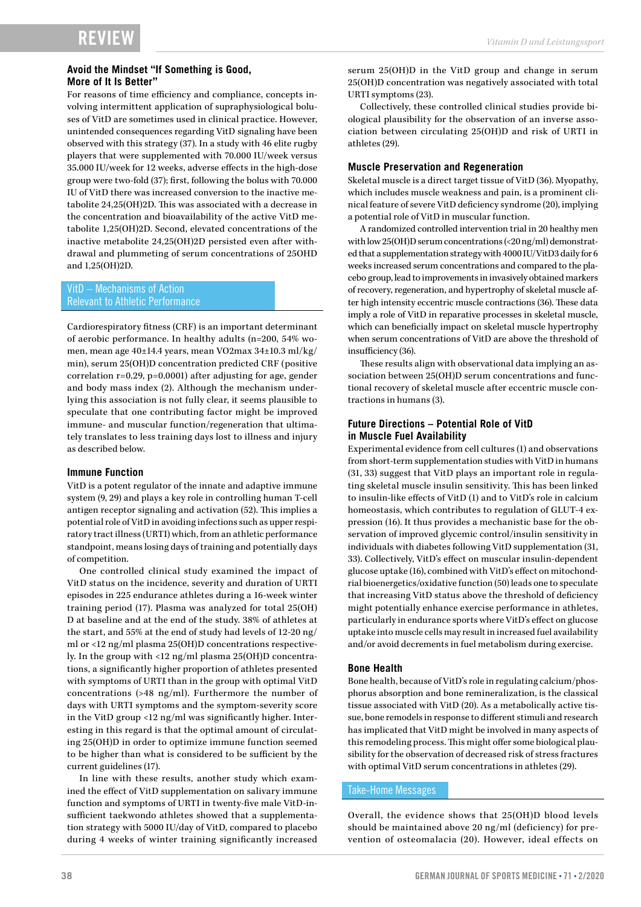#### **Avoid the Mindset "If Something is Good, More of It Is Better"**

For reasons of time efficiency and compliance, concepts involving intermittent application of supraphysiological boluses of VitD are sometimes used in clinical practice. However, unintended consequences regarding VitD signaling have been observed with this strategy (37). In a study with 46 elite rugby players that were supplemented with 70.000 IU/week versus 35.000 IU/week for 12 weeks, adverse effects in the high-dose group were two-fold (37); first, following the bolus with 70.000 IU of VitD there was increased conversion to the inactive metabolite 24,25(OH)2D. This was associated with a decrease in the concentration and bioavailability of the active VitD metabolite 1,25(OH)2D. Second, elevated concentrations of the inactive metabolite 24,25(OH)2D persisted even after withdrawal and plummeting of serum concentrations of 25OHD and 1,25(OH)2D.

#### VitD – Mechanisms of Action Relevant to Athletic Performance

Cardiorespiratory fitness (CRF) is an important determinant of aerobic performance. In healthy adults (n=200, 54% women, mean age 40±14.4 years, mean VO2max 34±10.3 ml/kg/ min), serum 25(OH)D concentration predicted CRF (positive correlation r=0.29, p=0.0001) after adjusting for age, gender and body mass index (2). Although the mechanism underlying this association is not fully clear, it seems plausible to speculate that one contributing factor might be improved immune- and muscular function/regeneration that ultimately translates to less training days lost to illness and injury as described below.

#### **Immune Function**

VitD is a potent regulator of the innate and adaptive immune system (9, 29) and plays a key role in controlling human T-cell antigen receptor signaling and activation (52). This implies a potential role of VitD in avoiding infections such as upper respiratory tract illness (URTI) which, from an athletic performance standpoint, means losing days of training and potentially days of competition.

One controlled clinical study examined the impact of VitD status on the incidence, severity and duration of URTI episodes in 225 endurance athletes during a 16-week winter training period (17). Plasma was analyzed for total 25(OH) D at baseline and at the end of the study. 38% of athletes at the start, and 55% at the end of study had levels of 12-20 ng/ ml or <12 ng/ml plasma 25(OH)D concentrations respectively. In the group with <12 ng/ml plasma 25(OH)D concentrations, a significantly higher proportion of athletes presented with symptoms of URTI than in the group with optimal VitD concentrations (>48 ng/ml). Furthermore the number of days with URTI symptoms and the symptom-severity score in the VitD group <12 ng/ml was significantly higher. Interesting in this regard is that the optimal amount of circulating 25(OH)D in order to optimize immune function seemed to be higher than what is considered to be sufficient by the current guidelines (17).

In line with these results, another study which examined the effect of VitD supplementation on salivary immune function and symptoms of URTI in twenty-five male VitD-insufficient taekwondo athletes showed that a supplementation strategy with 5000 IU/day of VitD, compared to placebo during 4 weeks of winter training significantly increased

serum 25(OH)D in the VitD group and change in serum 25(OH)D concentration was negatively associated with total URTI symptoms (23).

Collectively, these controlled clinical studies provide biological plausibility for the observation of an inverse association between circulating 25(OH)D and risk of URTI in athletes (29).

#### **Muscle Preservation and Regeneration**

Skeletal muscle is a direct target tissue of VitD (36). Myopathy, which includes muscle weakness and pain, is a prominent clinical feature of severe VitD deficiency syndrome (20), implying a potential role of VitD in muscular function.

A randomized controlled intervention trial in 20 healthy men with low 25(OH)D serum concentrations (<20 ng/ml) demonstrated that a supplementation strategy with 4000 IU/VitD3 daily for 6 weeks increased serum concentrations and compared to the placebo group, lead to improvements in invasively obtained markers of recovery, regeneration, and hypertrophy of skeletal muscle after high intensity eccentric muscle contractions (36). These data imply a role of VitD in reparative processes in skeletal muscle, which can beneficially impact on skeletal muscle hypertrophy when serum concentrations of VitD are above the threshold of insufficiency (36).

These results align with observational data implying an association between 25(OH)D serum concentrations and functional recovery of skeletal muscle after eccentric muscle contractions in humans (3).

#### **Future Directions – Potential Role of VitD in Muscle Fuel Availability**

Experimental evidence from cell cultures (1) and observations from short-term supplementation studies with VitD in humans (31, 33) suggest that VitD plays an important role in regulating skeletal muscle insulin sensitivity. This has been linked to insulin-like effects of VitD (1) and to VitD's role in calcium homeostasis, which contributes to regulation of GLUT-4 expression (16). It thus provides a mechanistic base for the observation of improved glycemic control/insulin sensitivity in individuals with diabetes following VitD supplementation (31, 33). Collectively, VitD's effect on muscular insulin-dependent glucose uptake (16), combined with VitD's effect on mitochondrial bioenergetics/oxidative function (50) leads one to speculate that increasing VitD status above the threshold of deficiency might potentially enhance exercise performance in athletes, particularly in endurance sports where VitD's effect on glucose uptake into muscle cells may result in increased fuel availability and/or avoid decrements in fuel metabolism during exercise.

#### **Bone Health**

Bone health, because of VitD's role in regulating calcium/phosphorus absorption and bone remineralization, is the classical tissue associated with VitD (20). As a metabolically active tissue, bone remodels in response to different stimuli and research has implicated that VitD might be involved in many aspects of this remodeling process. This might offer some biological plausibility for the observation of decreased risk of stress fractures with optimal VitD serum concentrations in athletes (29).

#### Take-Home Messages

Overall, the evidence shows that 25(OH)D blood levels should be maintained above 20 ng/ml (deficiency) for prevention of osteomalacia (20). However, ideal effects on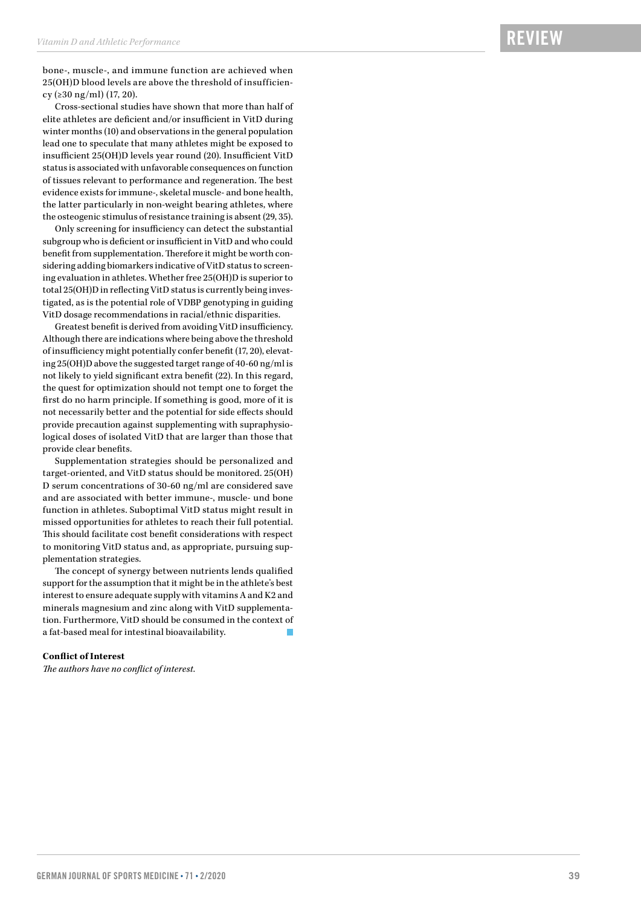bone-, muscle-, and immune function are achieved when 25(OH)D blood levels are above the threshold of insufficiency (≥30 ng/ml) (17, 20).

Cross-sectional studies have shown that more than half of elite athletes are deficient and/or insufficient in VitD during winter months (10) and observations in the general population lead one to speculate that many athletes might be exposed to insufficient 25(OH)D levels year round (20). Insufficient VitD status is associated with unfavorable consequences on function of tissues relevant to performance and regeneration. The best evidence exists for immune-, skeletal muscle- and bone health, the latter particularly in non-weight bearing athletes, where the osteogenic stimulus of resistance training is absent (29, 35).

Only screening for insufficiency can detect the substantial subgroup who is deficient or insufficient in VitD and who could benefit from supplementation. Therefore it might be worth considering adding biomarkers indicative of VitD status to screening evaluation in athletes. Whether free 25(OH)D is superior to total 25(OH)D in reflecting VitD status is currently being investigated, as is the potential role of VDBP genotyping in guiding VitD dosage recommendations in racial/ethnic disparities.

Greatest benefit is derived from avoiding VitD insufficiency. Although there are indications where being above the threshold of insufficiency might potentially confer benefit (17, 20), elevating 25(OH)D above the suggested target range of 40-60 ng/ml is not likely to yield significant extra benefit (22). In this regard, the quest for optimization should not tempt one to forget the first do no harm principle. If something is good, more of it is not necessarily better and the potential for side effects should provide precaution against supplementing with supraphysiological doses of isolated VitD that are larger than those that provide clear benefits.

Supplementation strategies should be personalized and target-oriented, and VitD status should be monitored. 25(OH) D serum concentrations of 30-60 ng/ml are considered save and are associated with better immune-, muscle- und bone function in athletes. Suboptimal VitD status might result in missed opportunities for athletes to reach their full potential. This should facilitate cost benefit considerations with respect to monitoring VitD status and, as appropriate, pursuing supplementation strategies.

The concept of synergy between nutrients lends qualified support for the assumption that it might be in the athlete's best interest to ensure adequate supply with vitamins A and K2 and minerals magnesium and zinc along with VitD supplementation. Furthermore, VitD should be consumed in the context of a fat-based meal for intestinal bioavailability.

#### **Conflict of Interest**

*The authors have no conflict of interest.*

### RE<sub>v</sub>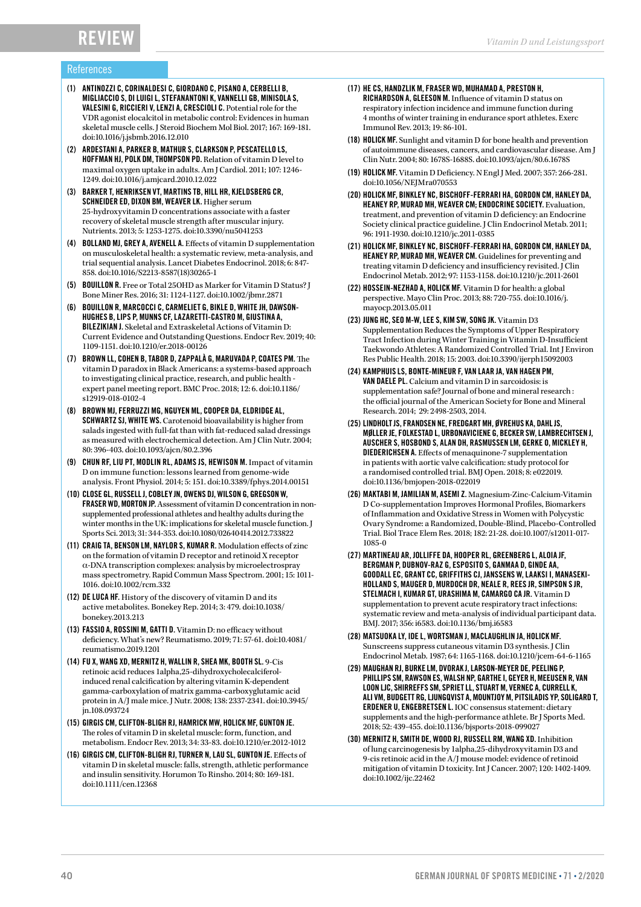#### References

- (1) ANTINOZZI C, CORINALDESI C, GIORDANO C, PISANO A, CERBELLI B, MIGLIACCIO S, DI LUIGI L, STEFANANTONI K, VANNELLI GB, MINISOLA S, VALESINI G, RICCIERI V, LENZI A, CRESCIOLI C. Potential role for the VDR agonist elocalcitol in metabolic control: Evidences in human skeletal muscle cells. J Steroid Biochem Mol Biol. 2017; 167: 169-181. doi:10.1016/j.jsbmb.2016.12.010
- (2) ARDESTANI A, PARKER B, MATHUR S, CLARKSON P, PESCATELLO LS, HOFFMAN HJ, POLK DM, THOMPSON PD. Relation of vitamin D level to maximal oxygen uptake in adults. Am J Cardiol. 2011; 107: 1246- 1249. doi:10.1016/j.amjcard.2010.12.022
- (3) BARKER T, HENRIKSEN VT, MARTINS TB, HILL HR, KJELDSBERG CR, SCHNEIDER ED, DIXON BM, WEAVER LK. Higher serum 25-hydroxyvitamin D concentrations associate with a faster recovery of skeletal muscle strength after muscular injury. Nutrients. 2013; 5: 1253-1275. doi:10.3390/nu5041253
- (4) BOLLAND MJ, GREY A, AVENELL A. Effects of vitamin D supplementation on musculoskeletal health: a systematic review, meta-analysis, and trial sequential analysis. Lancet Diabetes Endocrinol. 2018; 6: 847- 858. doi:10.1016/S2213-8587(18)30265-1
- (5) BOUILLON R. Free or Total 25OHD as Marker for Vitamin D Status? J Bone Miner Res. 2016; 31: 1124-1127. doi:10.1002/jbmr.2871
- (6) BOUILLON R, MARCOCCI C, CARMELIET G, BIKLE D, WHITE JH, DAWSON-HUGHES B, LIPS P, MUNNS CF, LAZARETTI-CASTRO M, GIUSTINA A, BILEZIKIAN J. Skeletal and Extraskeletal Actions of Vitamin D: Current Evidence and Outstanding Questions. Endocr Rev. 2019; 40: 1109-1151. doi:10.1210/er.2018-00126
- (7) BROWN LL, COHEN B, TABOR D, ZAPPALÀ G, MARUVADA P, COATES PM. The vitamin D paradox in Black Americans: a systems-based approach to investigating clinical practice, research, and public health expert panel meeting report. BMC Proc. 2018; 12: 6. doi:10.1186/ s12919-018-0102-4
- (8) BROWN MJ, FERRUZZI MG, NGUYEN ML, COOPER DA, ELDRIDGE AL, SCHWARTZ SJ, WHITE WS. Carotenoid bioavailability is higher from salads ingested with full-fat than with fat-reduced salad dressings as measured with electrochemical detection. Am J Clin Nutr. 2004; 80: 396-403. doi:10.1093/ajcn/80.2.396
- (9) CHUN RF, LIU PT, MODLIN RL, ADAMS JS, HEWISON M. Impact of vitamin D on immune function: lessons learned from genome-wide analysis. Front Physiol. 2014; 5: 151. doi:10.3389/fphys.2014.00151
- (10) CLOSE GL, RUSSELL J, COBLEY JN, OWENS DJ, WILSON G, GREGSON W, FRASER WD, MORTON JP. Assessment of vitamin D concentration in nonsupplemented professional athletes and healthy adults during the winter months in the UK: implications for skeletal muscle function. J Sports Sci. 2013; 31: 344-353. doi:10.1080/02640414.2012.733822
- (11) CRAIG TA, BENSON LM, NAYLOR S, KUMAR R. Modulation effects of zinc on the formation of vitamin D receptor and retinoid X receptor α-DNA transcription complexes: analysis by microelectrospray mass spectrometry. Rapid Commun Mass Spectrom. 2001; 15: 1011- 1016. doi:10.1002/rcm.332
- (12) DE LUCA HF. History of the discovery of vitamin D and its active metabolites. Bonekey Rep. 2014; 3: 479. doi:10.1038/ bonekey.2013.213
- (13) FASSIO A, ROSSINI M, GATTI D. Vitamin D: no efficacy without deficiency. What's new? Reumatismo. 2019; 71: 57-61. doi:10.4081/ reumatismo.2019.1201
- (14) FU X, WANG XD, MERNITZ H, WALLIN R, SHEA MK, BOOTH SL. 9-Cis retinoic acid reduces 1alpha,25-dihydroxycholecalciferolinduced renal calcification by altering vitamin K-dependent gamma-carboxylation of matrix gamma-carboxyglutamic acid protein in A/J male mice. J Nutr. 2008; 138: 2337-2341. doi:10.3945/ jn.108.093724
- (15) GIRGIS CM, CLIFTON-BLIGH RJ, HAMRICK MW, HOLICK MF, GUNTON JE. The roles of vitamin D in skeletal muscle: form, function, and metabolism. Endocr Rev. 2013; 34: 33-83. doi:10.1210/er.2012-1012
- (16) GIRGIS CM, CLIFTON-BLIGH RJ, TURNER N, LAU SL, GUNTON JE. Effects of vitamin D in skeletal muscle: falls, strength, athletic performance and insulin sensitivity. Horumon To Rinsho. 2014; 80: 169-181. doi:10.1111/cen.12368
- (17) HE CS, HANDZLIK M, FRASER WD, MUHAMAD A, PRESTON H, RICHARDSON A, GLEESON M. Influence of vitamin D status on respiratory infection incidence and immune function during 4 months of winter training in endurance sport athletes. Exerc Immunol Rev. 2013; 19: 86-101.
- (18) HOLICK MF. Sunlight and vitamin D for bone health and prevention of autoimmune diseases, cancers, and cardiovascular disease. Am J Clin Nutr. 2004; 80: 1678S-1688S. doi:10.1093/ajcn/80.6.1678S
- (19) HOLICK MF. Vitamin D Deficiency. N Engl J Med. 2007; 357: 266-281. doi:10.1056/NEJMra070553
- (20) HOLICK MF, BINKLEY NC, BISCHOFF-FERRARI HA, GORDON CM, HANLEY DA, HEANEY RP, MURAD MH, WEAVER CM; ENDOCRINE SOCIETY. Evaluation, treatment, and prevention of vitamin D deficiency: an Endocrine Society clinical practice guideline. J Clin Endocrinol Metab. 2011; 96: 1911-1930. doi:10.1210/jc.2011-0385
- (21) HOLICK MF, BINKLEY NC, BISCHOFF-FERRARI HA, GORDON CM, HANLEY DA, HEANEY RP, MURAD MH, WEAVER CM. Guidelines for preventing and treating vitamin D deficiency and insufficiency revisited. J Clin Endocrinol Metab. 2012; 97: 1153-1158. doi:10.1210/jc.2011-2601
- (22) HOSSEIN-NEZHAD A, HOLICK MF. Vitamin D for health: a global perspective. Mayo Clin Proc. 2013; 88: 720-755. doi:10.1016/j. mayocp.2013.05.011
- (23) JUNG HC, SEO M-W, LEE S, KIM SW, SONG JK. Vitamin D3 Supplementation Reduces the Symptoms of Upper Respiratory Tract Infection during Winter Training in Vitamin D-Insufficient Taekwondo Athletes: A Randomized Controlled Trial. Int J Environ Res Public Health. 2018; 15: 2003. doi:10.3390/ijerph15092003
- (24) KAMPHUIS LS, BONTE-MINEUR F, VAN LAAR JA, VAN HAGEN PM, VAN DAELE PL. Calcium and vitamin D in sarcoidosis: is supplementation safe? Journal of bone and mineral research : the official journal of the American Society for Bone and Mineral Research. 2014; 29: 2498-2503, 2014.
- (25) LINDHOLT JS, FRANDSEN NE, FREDGART MH, ØVREHUS KA, DAHL JS, MØLLER JE, FOLKESTAD L, URBONAVICIENE G, BECKER SW, LAMBRECHTSEN J, AUSCHER S, HOSBOND S, ALAN DH, RASMUSSEN LM, GERKE O, MICKLEY H, DIEDERICHSEN A. Effects of menaquinone-7 supplementation in patients with aortic valve calcification: study protocol for a randomised controlled trial. BMJ Open. 2018; 8: e022019. doi:10.1136/bmjopen-2018-022019
- (26) MAKTABI M, JAMILIAN M, ASEMI Z. Magnesium-Zinc-Calcium-Vitamin D Co-supplementation Improves Hormonal Profiles, Biomarkers of Inflammation and Oxidative Stress in Women with Polycystic Ovary Syndrome: a Randomized, Double-Blind, Placebo-Controlled Trial. Biol Trace Elem Res. 2018; 182: 21-28. doi:10.1007/s12011-017- 1085-0
- (27) MARTINEAU AR, JOLLIFFE DA, HOOPER RL, GREENBERG L, ALOIA JF, BERGMAN P, DUBNOV-RAZ G, ESPOSITO S, GANMAA D, GINDE AA, GOODALL EC, GRANT CC, GRIFFITHS CJ, JANSSENS W, LAAKSI I, MANASEKI-HOLLAND S, MAUGER D, MURDOCH DR, NEALE R, REES JR, SIMPSON S JR, STELMACH I, KUMAR GT, URASHIMA M, CAMARGO CA JR. Vitamin D supplementation to prevent acute respiratory tract infections: systematic review and meta-analysis of individual participant data. BMJ. 2017; 356: i6583. doi:10.1136/bmj.i6583
- (28) MATSUOKA LY, IDE L, WORTSMAN J, MACLAUGHLIN JA, HOLICK MF. Sunscreens suppress cutaneous vitamin D3 synthesis. J Clin Endocrinol Metab. 1987; 64: 1165-1168. doi:10.1210/jcem-64-6-1165
- (29) MAUGHAN RJ, BURKE LM, DVORAK J, LARSON-MEYER DE, PEELING P, PHILLIPS SM, RAWSON ES, WALSH NP, GARTHE I, GEYER H, MEEUSEN R, VAN LOON LJC, SHIRREFFS SM, SPRIET LL, STUART M, VERNEC A, CURRELL K, ALI VM, BUDGETT RG, LJUNGQVIST A, MOUNTJOY M, PITSILADIS YP, SOLIGARD T, ERDENER U, ENGEBRETSEN L. IOC consensus statement: dietary supplements and the high-performance athlete. Br J Sports Med. 2018; 52: 439-455. doi:10.1136/bjsports-2018-099027
- (30) MERNITZ H, SMITH DE, WOOD RJ, RUSSELL RM, WANG XD. Inhibition of lung carcinogenesis by 1alpha,25-dihydroxyvitamin D3 and 9-cis retinoic acid in the A/J mouse model: evidence of retinoid mitigation of vitamin D toxicity. Int J Cancer. 2007; 120: 1402-1409. doi:10.1002/ijc.22462